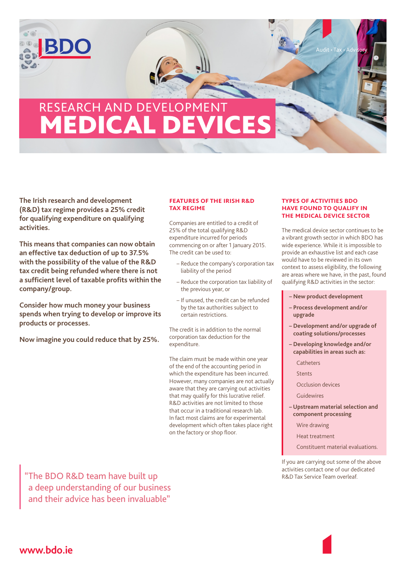## RESEARCH AND DEVELOPMEN **MEDICAL DEV**

**The Irish research and development (R&D) tax regime provides a 25% credit for qualifying expenditure on qualifying activities.** 

 $\odot \odot$ 

**This means that companies can now obtain an effective tax deduction of up to 37.5% with the possibility of the value of the R&D tax credit being refunded where there is not a sufficient level of taxable profits within the company/group.**

**Consider how much money your business spends when trying to develop or improve its products or processes.**

**Now imagine you could reduce that by 25%.**

## **features of the irish r&d tax regime**

Companies are entitled to a credit of 25% of the total qualifying R&D expenditure incurred for periods commencing on or after 1 January 2015. The credit can be used to:

- Reduce the company's corporation tax liability of the period
- Reduce the corporation tax liability of the previous year, or
- If unused, the credit can be refunded by the tax authorities subject to certain restrictions.

The credit is in addition to the normal corporation tax deduction for the expenditure.

The claim must be made within one year of the end of the accounting period in which the expenditure has been incurred. However, many companies are not actually aware that they are carrying out activities that may qualify for this lucrative relief. R&D activities are not limited to those that occur in a traditional research lab. In fact most claims are for experimental development which often takes place right on the factory or shop floor.

## **types of activities bdo have found to qualify in the medical device sector**

The medical device sector continues to be a vibrant growth sector in which BDO has wide experience. While it is impossible to provide an exhaustive list and each case would have to be reviewed in its own context to assess eligibility, the following are areas where we have, in the past, found qualifying R&D activities in the sector:

- **New product development**
- **Process development and/or upgrade**
- **Development and/or upgrade of coating solutions/processes**
- **Developing knowledge and/or capabilities in areas such as:**
	- Catheters
	- Stents
	- Occlusion devices
	- **Guidewires**
- **Upstream material selection and component processing** 
	- Wire drawing
	- Heat treatment
	- Constituent material evaluations.

If you are carrying out some of the above activities contact one of our dedicated R&D Tax Service Team overleaf.

"The BDO R&D team have built up a deep understanding of our business and their advice has been invaluable"